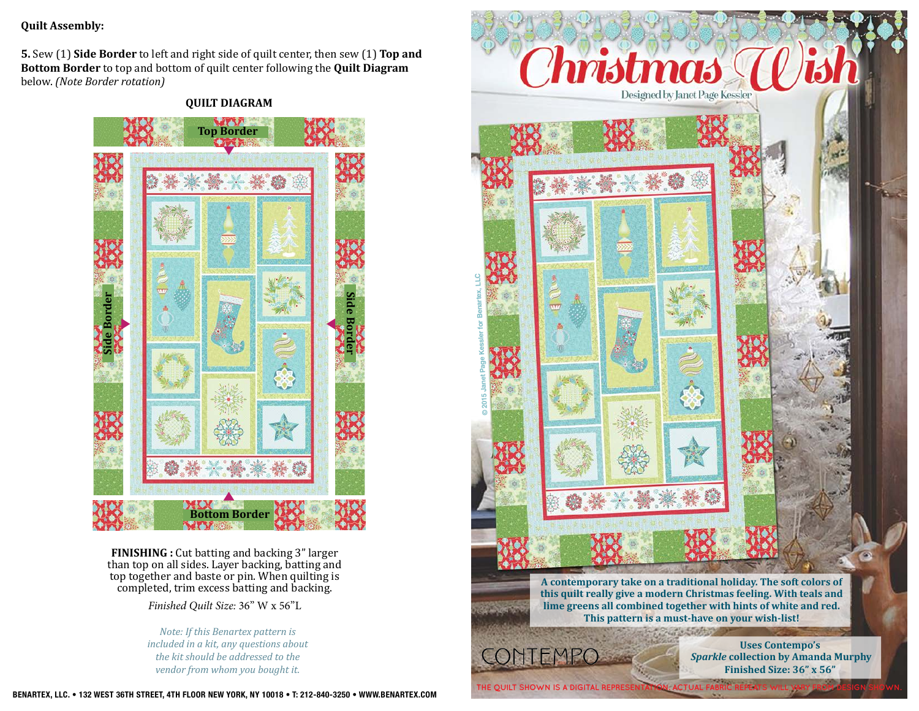#### **Quilt Assembly:**

**5.** Sew (1) **Side Border** to left and right side of quilt center, then sew (1) **Top and Bottom Border** to top and bottom of quilt center following the **Quilt Diagram** below. *(Note Border rotation)*

### **QUILT DIAGRAM**



**FINISHING :** Cut batting and backing 3" larger than top on all sides. Layer backing, batting and top together and baste or pin. When quilting is completed, trim excess batting and backing.

*Finished Quilt Size:* 36" W x 56"L

*Note: If this Benartex pattern is included in a kit, any questions about the kit should be addressed to the vendor from whom you bought it.*